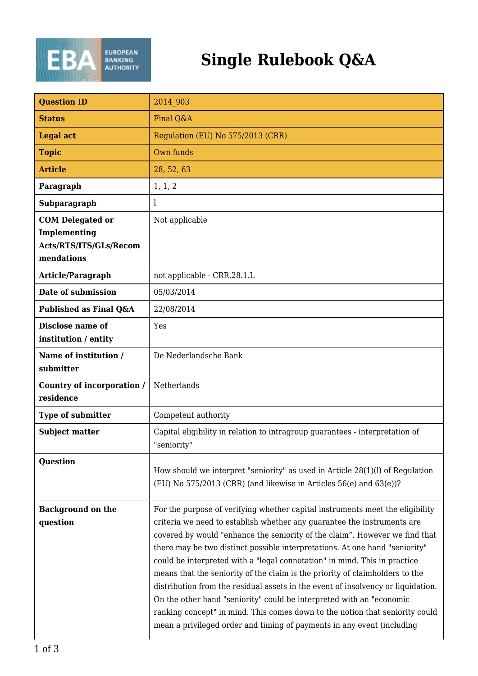

## **Single Rulebook Q&A**

| <b>Question ID</b>                                                              | 2014 903                                                                                                                                                                                                                                                                                                                                                                                                                                                                                                                                                                                                                                                                                                                                                                                                  |
|---------------------------------------------------------------------------------|-----------------------------------------------------------------------------------------------------------------------------------------------------------------------------------------------------------------------------------------------------------------------------------------------------------------------------------------------------------------------------------------------------------------------------------------------------------------------------------------------------------------------------------------------------------------------------------------------------------------------------------------------------------------------------------------------------------------------------------------------------------------------------------------------------------|
| <b>Status</b>                                                                   | Final Q&A                                                                                                                                                                                                                                                                                                                                                                                                                                                                                                                                                                                                                                                                                                                                                                                                 |
| <b>Legal act</b>                                                                | Regulation (EU) No 575/2013 (CRR)                                                                                                                                                                                                                                                                                                                                                                                                                                                                                                                                                                                                                                                                                                                                                                         |
| <b>Topic</b>                                                                    | Own funds                                                                                                                                                                                                                                                                                                                                                                                                                                                                                                                                                                                                                                                                                                                                                                                                 |
| <b>Article</b>                                                                  | 28, 52, 63                                                                                                                                                                                                                                                                                                                                                                                                                                                                                                                                                                                                                                                                                                                                                                                                |
| Paragraph                                                                       | 1, 1, 2                                                                                                                                                                                                                                                                                                                                                                                                                                                                                                                                                                                                                                                                                                                                                                                                   |
| Subparagraph                                                                    | 1                                                                                                                                                                                                                                                                                                                                                                                                                                                                                                                                                                                                                                                                                                                                                                                                         |
| <b>COM Delegated or</b><br>Implementing<br>Acts/RTS/ITS/GLs/Recom<br>mendations | Not applicable                                                                                                                                                                                                                                                                                                                                                                                                                                                                                                                                                                                                                                                                                                                                                                                            |
| Article/Paragraph                                                               | not applicable - CRR.28.1.L                                                                                                                                                                                                                                                                                                                                                                                                                                                                                                                                                                                                                                                                                                                                                                               |
| Date of submission                                                              | 05/03/2014                                                                                                                                                                                                                                                                                                                                                                                                                                                                                                                                                                                                                                                                                                                                                                                                |
| Published as Final Q&A                                                          | 22/08/2014                                                                                                                                                                                                                                                                                                                                                                                                                                                                                                                                                                                                                                                                                                                                                                                                |
| Disclose name of<br>institution / entity                                        | Yes                                                                                                                                                                                                                                                                                                                                                                                                                                                                                                                                                                                                                                                                                                                                                                                                       |
| Name of institution /<br>submitter                                              | De Nederlandsche Bank                                                                                                                                                                                                                                                                                                                                                                                                                                                                                                                                                                                                                                                                                                                                                                                     |
| Country of incorporation /<br>residence                                         | Netherlands                                                                                                                                                                                                                                                                                                                                                                                                                                                                                                                                                                                                                                                                                                                                                                                               |
| Type of submitter                                                               | Competent authority                                                                                                                                                                                                                                                                                                                                                                                                                                                                                                                                                                                                                                                                                                                                                                                       |
| <b>Subject matter</b>                                                           | Capital eligibility in relation to intragroup guarantees - interpretation of<br>"seniority"                                                                                                                                                                                                                                                                                                                                                                                                                                                                                                                                                                                                                                                                                                               |
| <b>Question</b>                                                                 | How should we interpret "seniority" as used in Article $28(1)(l)$ of Regulation<br>(EU) No $575/2013$ (CRR) (and likewise in Articles $56(e)$ and $63(e)$ )?                                                                                                                                                                                                                                                                                                                                                                                                                                                                                                                                                                                                                                              |
| <b>Background on the</b><br>question                                            | For the purpose of verifying whether capital instruments meet the eligibility<br>criteria we need to establish whether any guarantee the instruments are<br>covered by would "enhance the seniority of the claim". However we find that<br>there may be two distinct possible interpretations. At one hand "seniority"<br>could be interpreted with a "legal connotation" in mind. This in practice<br>means that the seniority of the claim is the priority of claimholders to the<br>distribution from the residual assets in the event of insolvency or liquidation.<br>On the other hand "seniority" could be interpreted with an "economic<br>ranking concept" in mind. This comes down to the notion that seniority could<br>mean a privileged order and timing of payments in any event (including |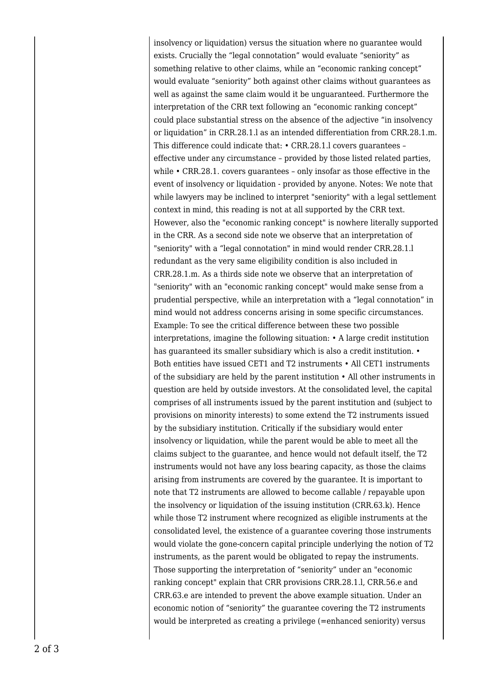insolvency or liquidation) versus the situation where no guarantee would exists. Crucially the "legal connotation" would evaluate "seniority" as something relative to other claims, while an "economic ranking concept" would evaluate "seniority" both against other claims without guarantees as well as against the same claim would it be unguaranteed. Furthermore the interpretation of the CRR text following an "economic ranking concept" could place substantial stress on the absence of the adjective "in insolvency or liquidation" in CRR.28.1.l as an intended differentiation from CRR.28.1.m. This difference could indicate that: • CRR.28.1.l covers guarantees – effective under any circumstance – provided by those listed related parties, while • CRR.28.1. covers guarantees – only insofar as those effective in the event of insolvency or liquidation - provided by anyone. Notes: We note that while lawyers may be inclined to interpret "seniority" with a legal settlement context in mind, this reading is not at all supported by the CRR text. However, also the "economic ranking concept" is nowhere literally supported in the CRR. As a second side note we observe that an interpretation of "seniority" with a "legal connotation" in mind would render CRR.28.1.l redundant as the very same eligibility condition is also included in CRR.28.1.m. As a thirds side note we observe that an interpretation of "seniority" with an "economic ranking concept" would make sense from a prudential perspective, while an interpretation with a "legal connotation" in mind would not address concerns arising in some specific circumstances. Example: To see the critical difference between these two possible interpretations, imagine the following situation: • A large credit institution has guaranteed its smaller subsidiary which is also a credit institution.  $\bullet$ Both entities have issued CET1 and T2 instruments • All CET1 instruments of the subsidiary are held by the parent institution • All other instruments in question are held by outside investors. At the consolidated level, the capital comprises of all instruments issued by the parent institution and (subject to provisions on minority interests) to some extend the T2 instruments issued by the subsidiary institution. Critically if the subsidiary would enter insolvency or liquidation, while the parent would be able to meet all the claims subject to the guarantee, and hence would not default itself, the T2 instruments would not have any loss bearing capacity, as those the claims arising from instruments are covered by the guarantee. It is important to note that T2 instruments are allowed to become callable / repayable upon the insolvency or liquidation of the issuing institution (CRR.63.k). Hence while those T2 instrument where recognized as eligible instruments at the consolidated level, the existence of a guarantee covering those instruments would violate the gone-concern capital principle underlying the notion of T2 instruments, as the parent would be obligated to repay the instruments. Those supporting the interpretation of "seniority" under an "economic ranking concept" explain that CRR provisions CRR.28.1.l, CRR.56.e and CRR.63.e are intended to prevent the above example situation. Under an economic notion of "seniority" the guarantee covering the T2 instruments would be interpreted as creating a privilege (=enhanced seniority) versus